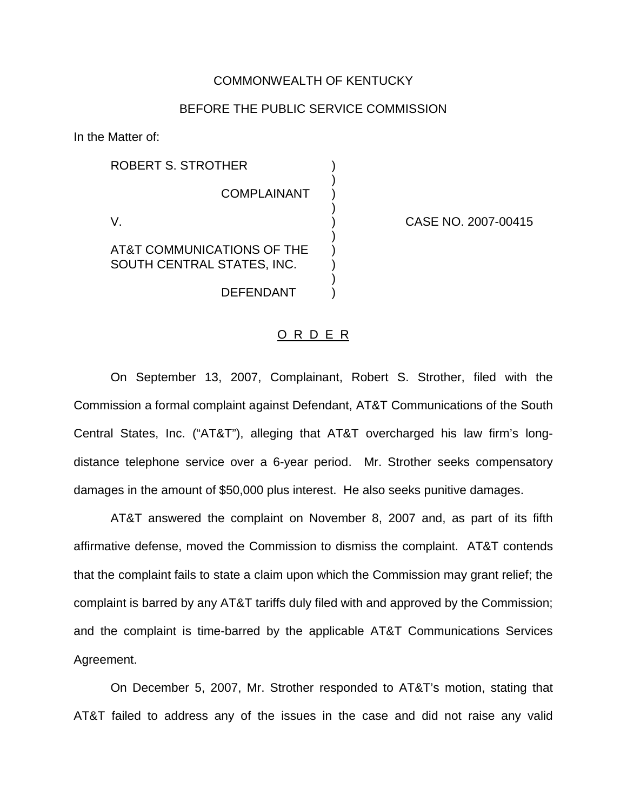## COMMONWEALTH OF KENTUCKY

# BEFORE THE PUBLIC SERVICE COMMISSION

)

)

)

)

In the Matter of:

ROBERT S. STROTHER **COMPLAINANT** V. ) CASE NO. 2007-00415 AT&T COMMUNICATIONS OF THE ) SOUTH CENTRAL STATES, INC.

#### O R D E R

DEFENDANT )

On September 13, 2007, Complainant, Robert S. Strother, filed with the Commission a formal complaint against Defendant, AT&T Communications of the South Central States, Inc. ("AT&T"), alleging that AT&T overcharged his law firm's longdistance telephone service over a 6-year period. Mr. Strother seeks compensatory damages in the amount of \$50,000 plus interest. He also seeks punitive damages.

AT&T answered the complaint on November 8, 2007 and, as part of its fifth affirmative defense, moved the Commission to dismiss the complaint. AT&T contends that the complaint fails to state a claim upon which the Commission may grant relief; the complaint is barred by any AT&T tariffs duly filed with and approved by the Commission; and the complaint is time-barred by the applicable AT&T Communications Services Agreement.

On December 5, 2007, Mr. Strother responded to AT&T's motion, stating that AT&T failed to address any of the issues in the case and did not raise any valid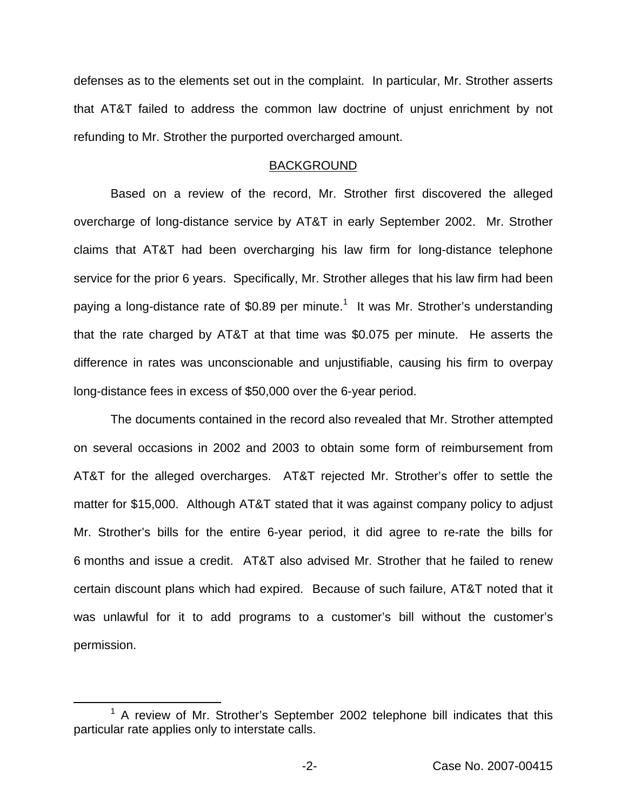defenses as to the elements set out in the complaint. In particular, Mr. Strother asserts that AT&T failed to address the common law doctrine of unjust enrichment by not refunding to Mr. Strother the purported overcharged amount.

### BACKGROUND

Based on a review of the record, Mr. Strother first discovered the alleged overcharge of long-distance service by AT&T in early September 2002. Mr. Strother claims that AT&T had been overcharging his law firm for long-distance telephone service for the prior 6 years. Specifically, Mr. Strother alleges that his law firm had been paying a long-distance rate of \$0.89 per minute.<sup>1</sup> It was Mr. Strother's understanding that the rate charged by AT&T at that time was \$0.075 per minute. He asserts the difference in rates was unconscionable and unjustifiable, causing his firm to overpay long-distance fees in excess of \$50,000 over the 6-year period.

The documents contained in the record also revealed that Mr. Strother attempted on several occasions in 2002 and 2003 to obtain some form of reimbursement from AT&T for the alleged overcharges. AT&T rejected Mr. Strother's offer to settle the matter for \$15,000. Although AT&T stated that it was against company policy to adjust Mr. Strother's bills for the entire 6-year period, it did agree to re-rate the bills for 6 months and issue a credit. AT&T also advised Mr. Strother that he failed to renew certain discount plans which had expired. Because of such failure, AT&T noted that it was unlawful for it to add programs to a customer's bill without the customer's permission.

 $1$  A review of Mr. Strother's September 2002 telephone bill indicates that this particular rate applies only to interstate calls.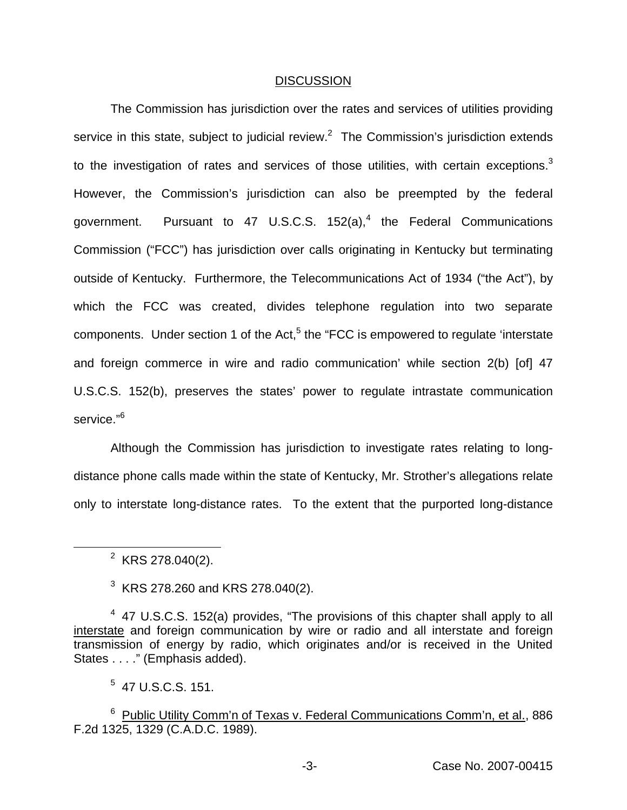#### DISCUSSION

The Commission has jurisdiction over the rates and services of utilities providing service in this state, subject to judicial review. $<sup>2</sup>$  The Commission's jurisdiction extends</sup> to the investigation of rates and services of those utilities, with certain exceptions.<sup>3</sup> However, the Commission's jurisdiction can also be preempted by the federal government. Pursuant to 47 U.S.C.S.  $152(a)$ ,<sup>4</sup> the Federal Communications Commission ("FCC") has jurisdiction over calls originating in Kentucky but terminating outside of Kentucky. Furthermore, the Telecommunications Act of 1934 ("the Act"), by which the FCC was created, divides telephone regulation into two separate components. Under section 1 of the Act, $5$  the "FCC is empowered to regulate 'interstate and foreign commerce in wire and radio communication' while section 2(b) [of] 47 U.S.C.S. 152(b), preserves the states' power to regulate intrastate communication service."<sup>6</sup>

Although the Commission has jurisdiction to investigate rates relating to longdistance phone calls made within the state of Kentucky, Mr. Strother's allegations relate only to interstate long-distance rates. To the extent that the purported long-distance

 $3$  KRS 278.260 and KRS 278.040(2).

 $2$  KRS 278.040(2).

 $4$  47 U.S.C.S. 152(a) provides, "The provisions of this chapter shall apply to all interstate and foreign communication by wire or radio and all interstate and foreign transmission of energy by radio, which originates and/or is received in the United States . . . ." (Emphasis added).

 $5$  47 U.S.C.S. 151.

<sup>&</sup>lt;sup>6</sup> Public Utility Comm'n of Texas v. Federal Communications Comm'n, et al., 886 F.2d 1325, 1329 (C.A.D.C. 1989).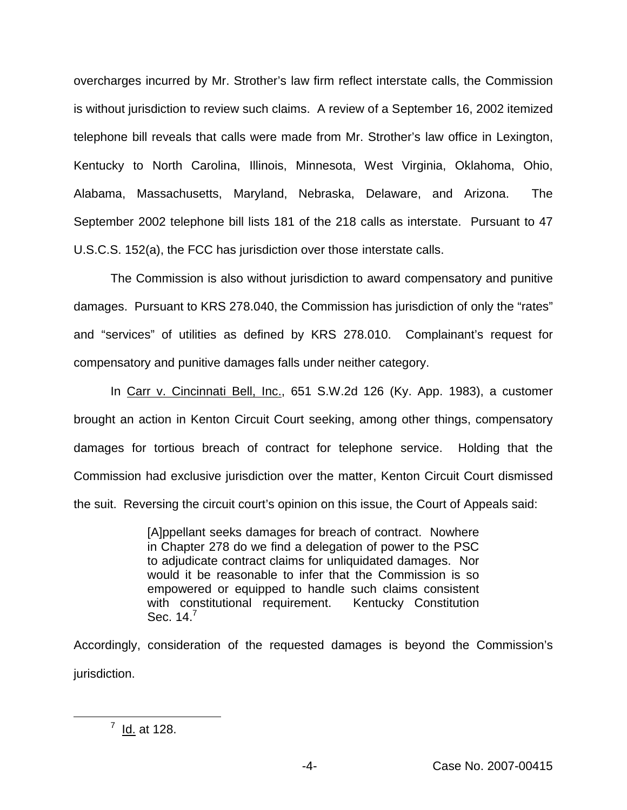overcharges incurred by Mr. Strother's law firm reflect interstate calls, the Commission is without jurisdiction to review such claims. A review of a September 16, 2002 itemized telephone bill reveals that calls were made from Mr. Strother's law office in Lexington, Kentucky to North Carolina, Illinois, Minnesota, West Virginia, Oklahoma, Ohio, Alabama, Massachusetts, Maryland, Nebraska, Delaware, and Arizona. The September 2002 telephone bill lists 181 of the 218 calls as interstate. Pursuant to 47 U.S.C.S. 152(a), the FCC has jurisdiction over those interstate calls.

The Commission is also without jurisdiction to award compensatory and punitive damages. Pursuant to KRS 278.040, the Commission has jurisdiction of only the "rates" and "services" of utilities as defined by KRS 278.010. Complainant's request for compensatory and punitive damages falls under neither category.

In Carr v. Cincinnati Bell, Inc., 651 S.W.2d 126 (Ky. App. 1983), a customer brought an action in Kenton Circuit Court seeking, among other things, compensatory damages for tortious breach of contract for telephone service. Holding that the Commission had exclusive jurisdiction over the matter, Kenton Circuit Court dismissed the suit. Reversing the circuit court's opinion on this issue, the Court of Appeals said:

> [A]ppellant seeks damages for breach of contract. Nowhere in Chapter 278 do we find a delegation of power to the PSC to adjudicate contract claims for unliquidated damages. Nor would it be reasonable to infer that the Commission is so empowered or equipped to handle such claims consistent with constitutional requirement. Kentucky Constitution Sec.  $14<sup>7</sup>$

Accordingly, consideration of the requested damages is beyond the Commission's jurisdiction.

 $^7$  Id. at 128.